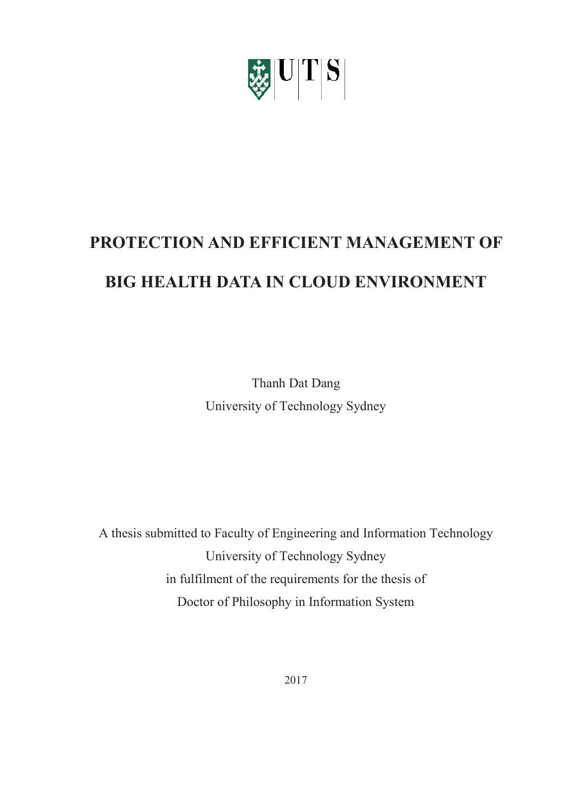

# **PROTECTION AND EFFICIENT MANAGEMENT OF BIG HEALTH DATA IN CLOUD ENVIRONMENT**

Thanh Dat Dang University of Technology Sydney

A thesis submitted to Faculty of Engineering and Information Technology University of Technology Sydney in fulfilment of the requirements for the thesis of Doctor of Philosophy in Information System

2017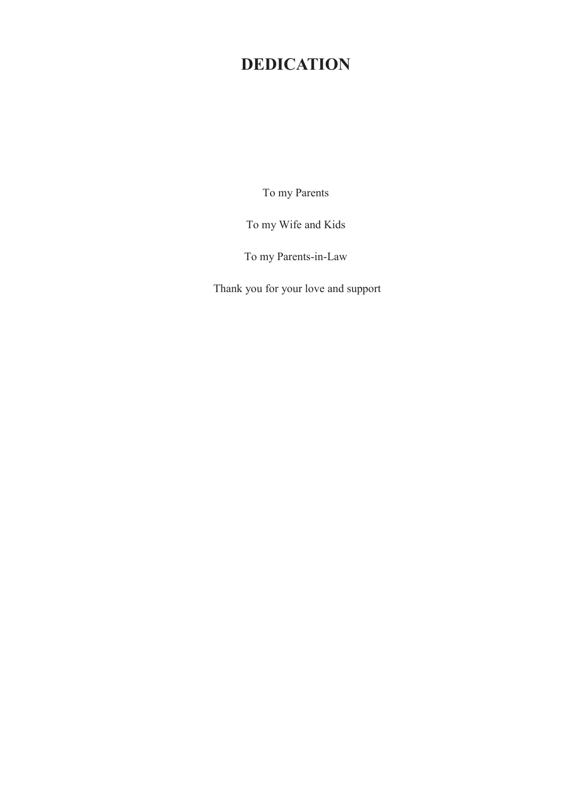# **DEDICATION**

To my Parents

To my Wife and Kids

To my Parents-in-Law

Thank you for your love and support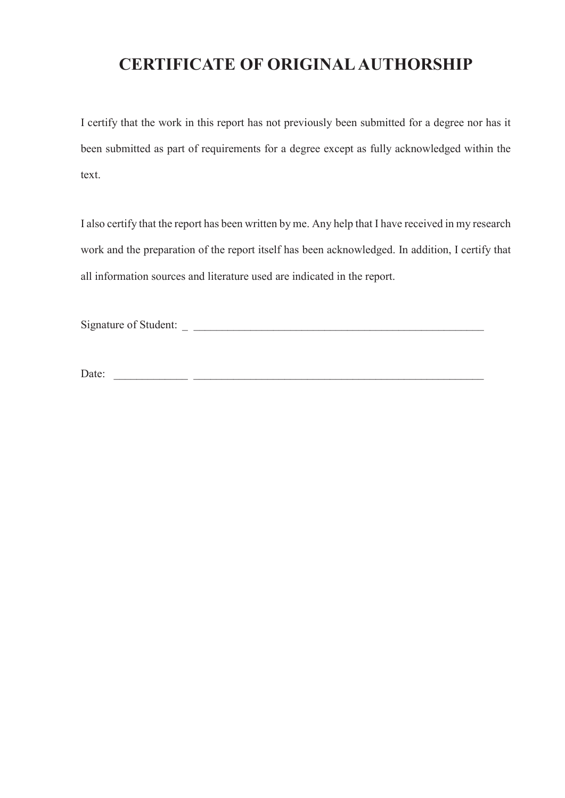### **CERTIFICATE OF ORIGINAL AUTHORSHIP**

I certify that the work in this report has not previously been submitted for a degree nor has it been submitted as part of requirements for a degree except as fully acknowledged within the text.

I also certify that the report has been written by me. Any help that I have received in my research work and the preparation of the report itself has been acknowledged. In addition, I certify that all information sources and literature used are indicated in the report.

Signature of Student:

Date: \_\_\_\_\_\_\_\_\_\_\_\_\_ \_\_\_\_\_\_\_\_\_\_\_\_\_\_\_\_\_\_\_\_\_\_\_\_\_\_\_\_\_\_\_\_\_\_\_\_\_\_\_\_\_\_\_\_\_\_\_\_\_\_\_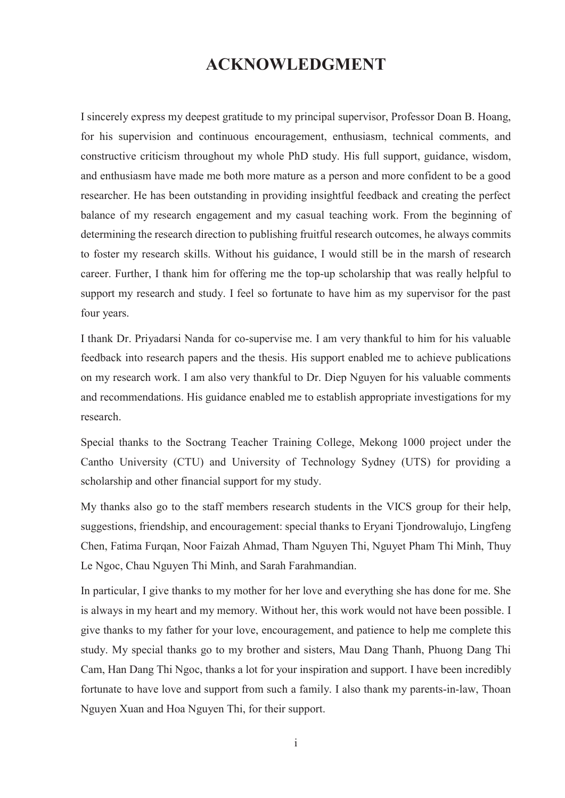### **ACKNOWLEDGMENT**

I sincerely express my deepest gratitude to my principal supervisor, Professor Doan B. Hoang, for his supervision and continuous encouragement, enthusiasm, technical comments, and constructive criticism throughout my whole PhD study. His full support, guidance, wisdom, and enthusiasm have made me both more mature as a person and more confident to be a good researcher. He has been outstanding in providing insightful feedback and creating the perfect balance of my research engagement and my casual teaching work. From the beginning of determining the research direction to publishing fruitful research outcomes, he always commits to foster my research skills. Without his guidance, I would still be in the marsh of research career. Further, I thank him for offering me the top-up scholarship that was really helpful to support my research and study. I feel so fortunate to have him as my supervisor for the past four years.

I thank Dr. Priyadarsi Nanda for co-supervise me. I am very thankful to him for his valuable feedback into research papers and the thesis. His support enabled me to achieve publications on my research work. I am also very thankful to Dr. Diep Nguyen for his valuable comments and recommendations. His guidance enabled me to establish appropriate investigations for my research.

Special thanks to the Soctrang Teacher Training College, Mekong 1000 project under the Cantho University (CTU) and University of Technology Sydney (UTS) for providing a scholarship and other financial support for my study.

My thanks also go to the staff members research students in the VICS group for their help, suggestions, friendship, and encouragement: special thanks to Eryani Tjondrowalujo, Lingfeng Chen, Fatima Furqan, Noor Faizah Ahmad, Tham Nguyen Thi, Nguyet Pham Thi Minh, Thuy Le Ngoc, Chau Nguyen Thi Minh, and Sarah Farahmandian.

In particular, I give thanks to my mother for her love and everything she has done for me. She is always in my heart and my memory. Without her, this work would not have been possible. I give thanks to my father for your love, encouragement, and patience to help me complete this study. My special thanks go to my brother and sisters, Mau Dang Thanh, Phuong Dang Thi Cam, Han Dang Thi Ngoc, thanks a lot for your inspiration and support. I have been incredibly fortunate to have love and support from such a family. I also thank my parents-in-law, Thoan Nguyen Xuan and Hoa Nguyen Thi, for their support.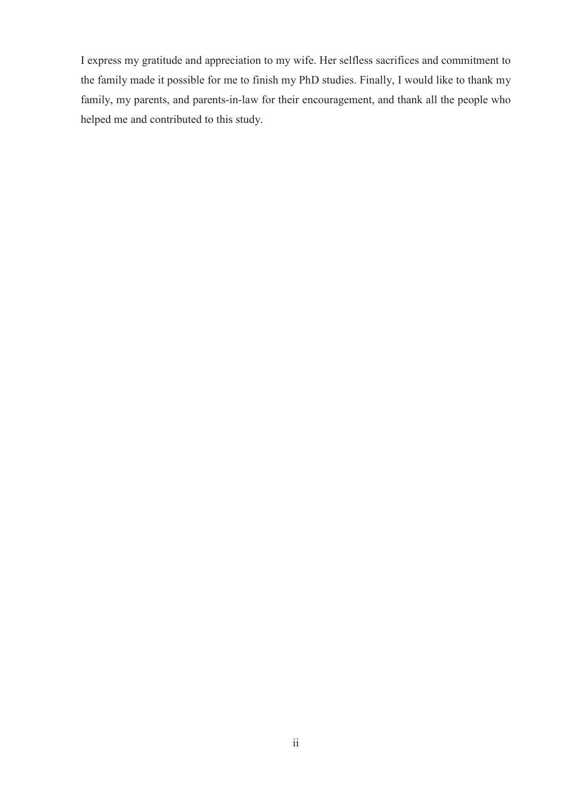I express my gratitude and appreciation to my wife. Her selfless sacrifices and commitment to the family made it possible for me to finish my PhD studies. Finally, I would like to thank my family, my parents, and parents-in-law for their encouragement, and thank all the people who helped me and contributed to this study.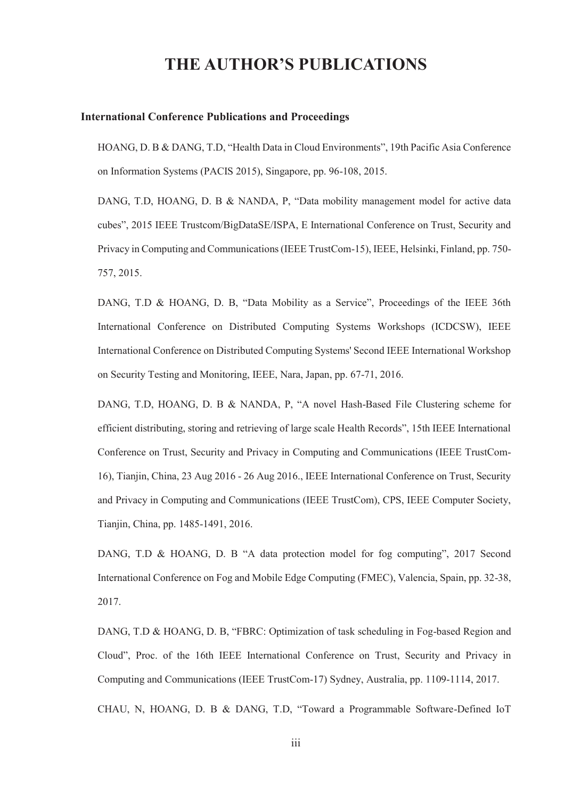### **THE AUTHOR'S PUBLICATIONS**

#### **International Conference Publications and Proceedings**

HOANG, D. B & DANG, T.D, "Health Data in Cloud Environments", 19th Pacific Asia Conference on Information Systems (PACIS 2015), Singapore, pp. 96-108, 2015.

DANG, T.D, HOANG, D. B & NANDA, P, "Data mobility management model for active data cubes", 2015 IEEE Trustcom/BigDataSE/ISPA, E International Conference on Trust, Security and Privacy in Computing and Communications (IEEE TrustCom-15), IEEE, Helsinki, Finland, pp. 750- 757, 2015.

DANG, T.D & HOANG, D. B, "Data Mobility as a Service", Proceedings of the IEEE 36th International Conference on Distributed Computing Systems Workshops (ICDCSW), IEEE International Conference on Distributed Computing Systems' Second IEEE International Workshop on Security Testing and Monitoring, IEEE, Nara, Japan, pp. 67-71, 2016.

DANG, T.D, HOANG, D. B & NANDA, P, "A novel Hash-Based File Clustering scheme for efficient distributing, storing and retrieving of large scale Health Records", 15th IEEE International Conference on Trust, Security and Privacy in Computing and Communications (IEEE TrustCom-16), Tianjin, China, 23 Aug 2016 - 26 Aug 2016., IEEE International Conference on Trust, Security and Privacy in Computing and Communications (IEEE TrustCom), CPS, IEEE Computer Society, Tianjin, China, pp. 1485-1491, 2016.

DANG, T.D & HOANG, D. B "A data protection model for fog computing", 2017 Second International Conference on Fog and Mobile Edge Computing (FMEC), Valencia, Spain, pp. 32-38, 2017.

DANG, T.D & HOANG, D. B, "FBRC: Optimization of task scheduling in Fog-based Region and Cloud", Proc. of the 16th IEEE International Conference on Trust, Security and Privacy in Computing and Communications (IEEE TrustCom-17) Sydney, Australia, pp. 1109-1114, 2017.

CHAU, N, HOANG, D. B & DANG, T.D, "Toward a Programmable Software-Defined IoT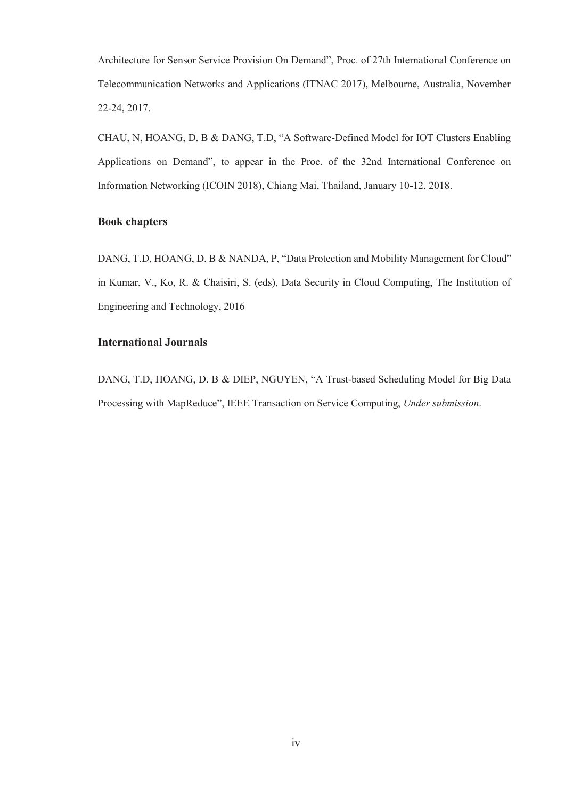Architecture for Sensor Service Provision On Demand", Proc. of 27th International Conference on Telecommunication Networks and Applications (ITNAC 2017), Melbourne, Australia, November 22-24, 2017.

CHAU, N, HOANG, D. B & DANG, T.D, "A Software‐Defined Model for IOT Clusters Enabling Applications on Demand", to appear in the Proc. of the 32nd International Conference on Information Networking (ICOIN 2018), Chiang Mai, Thailand, January 10-12, 2018.

#### **Book chapters**

DANG, T.D, HOANG, D. B & NANDA, P, "Data Protection and Mobility Management for Cloud" in Kumar, V., Ko, R. & Chaisiri, S. (eds), Data Security in Cloud Computing, The Institution of Engineering and Technology, 2016

#### **International Journals**

DANG, T.D, HOANG, D. B & DIEP, NGUYEN, "A Trust-based Scheduling Model for Big Data Processing with MapReduce", IEEE Transaction on Service Computing, *Under submission*.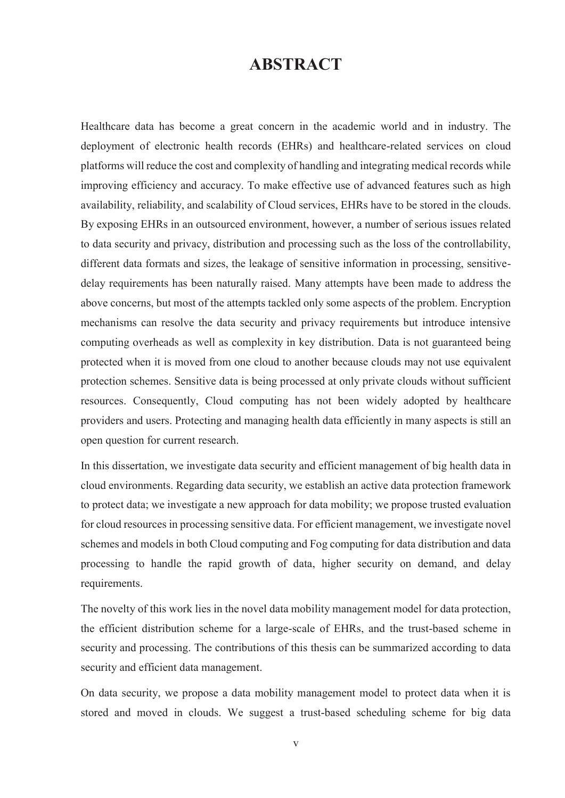### **ABSTRACT**

Healthcare data has become a great concern in the academic world and in industry. The deployment of electronic health records (EHRs) and healthcare-related services on cloud platforms will reduce the cost and complexity of handling and integrating medical records while improving efficiency and accuracy. To make effective use of advanced features such as high availability, reliability, and scalability of Cloud services, EHRs have to be stored in the clouds. By exposing EHRs in an outsourced environment, however, a number of serious issues related to data security and privacy, distribution and processing such as the loss of the controllability, different data formats and sizes, the leakage of sensitive information in processing, sensitivedelay requirements has been naturally raised. Many attempts have been made to address the above concerns, but most of the attempts tackled only some aspects of the problem. Encryption mechanisms can resolve the data security and privacy requirements but introduce intensive computing overheads as well as complexity in key distribution. Data is not guaranteed being protected when it is moved from one cloud to another because clouds may not use equivalent protection schemes. Sensitive data is being processed at only private clouds without sufficient resources. Consequently, Cloud computing has not been widely adopted by healthcare providers and users. Protecting and managing health data efficiently in many aspects is still an open question for current research.

In this dissertation, we investigate data security and efficient management of big health data in cloud environments. Regarding data security, we establish an active data protection framework to protect data; we investigate a new approach for data mobility; we propose trusted evaluation for cloud resources in processing sensitive data. For efficient management, we investigate novel schemes and models in both Cloud computing and Fog computing for data distribution and data processing to handle the rapid growth of data, higher security on demand, and delay requirements.

The novelty of this work lies in the novel data mobility management model for data protection, the efficient distribution scheme for a large-scale of EHRs, and the trust-based scheme in security and processing. The contributions of this thesis can be summarized according to data security and efficient data management.

On data security, we propose a data mobility management model to protect data when it is stored and moved in clouds. We suggest a trust-based scheduling scheme for big data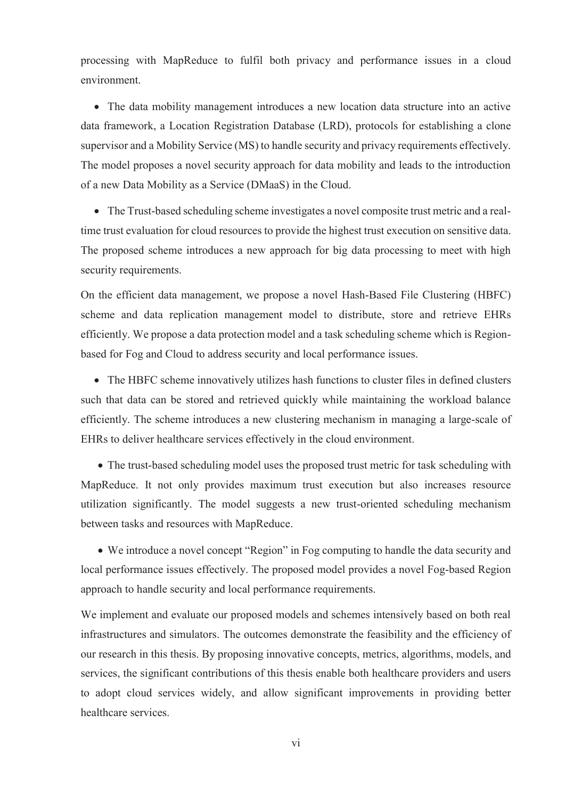processing with MapReduce to fulfil both privacy and performance issues in a cloud environment.

• The data mobility management introduces a new location data structure into an active data framework, a Location Registration Database (LRD), protocols for establishing a clone supervisor and a Mobility Service (MS) to handle security and privacy requirements effectively. The model proposes a novel security approach for data mobility and leads to the introduction of a new Data Mobility as a Service (DMaaS) in the Cloud.

• The Trust-based scheduling scheme investigates a novel composite trust metric and a realtime trust evaluation for cloud resources to provide the highest trust execution on sensitive data. The proposed scheme introduces a new approach for big data processing to meet with high security requirements.

On the efficient data management, we propose a novel Hash-Based File Clustering (HBFC) scheme and data replication management model to distribute, store and retrieve EHRs efficiently. We propose a data protection model and a task scheduling scheme which is Regionbased for Fog and Cloud to address security and local performance issues.

• The HBFC scheme innovatively utilizes hash functions to cluster files in defined clusters such that data can be stored and retrieved quickly while maintaining the workload balance efficiently. The scheme introduces a new clustering mechanism in managing a large-scale of EHRs to deliver healthcare services effectively in the cloud environment.

• The trust-based scheduling model uses the proposed trust metric for task scheduling with MapReduce. It not only provides maximum trust execution but also increases resource utilization significantly. The model suggests a new trust-oriented scheduling mechanism between tasks and resources with MapReduce.

• We introduce a novel concept "Region" in Fog computing to handle the data security and local performance issues effectively. The proposed model provides a novel Fog-based Region approach to handle security and local performance requirements.

We implement and evaluate our proposed models and schemes intensively based on both real infrastructures and simulators. The outcomes demonstrate the feasibility and the efficiency of our research in this thesis. By proposing innovative concepts, metrics, algorithms, models, and services, the significant contributions of this thesis enable both healthcare providers and users to adopt cloud services widely, and allow significant improvements in providing better healthcare services.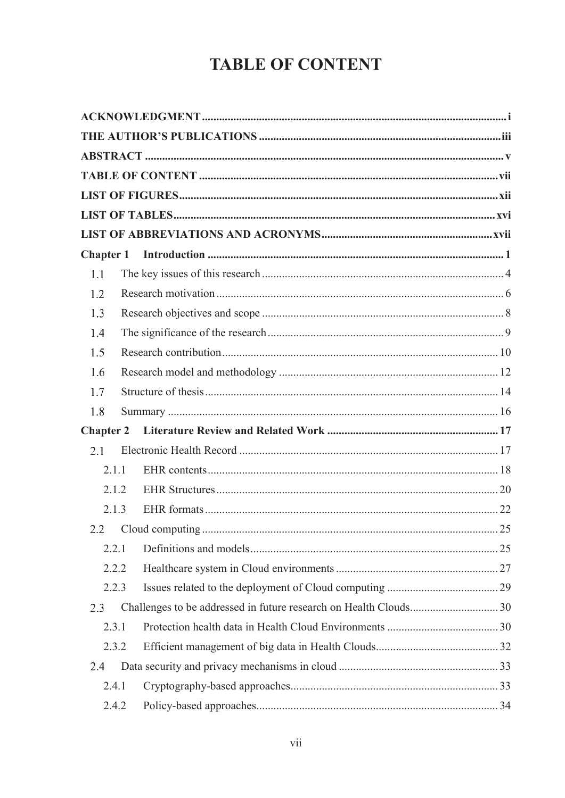# **TABLE OF CONTENT**

| 1.1              |  |
|------------------|--|
| 1.2              |  |
| 1.3              |  |
| 1.4              |  |
| 1.5              |  |
| 1.6              |  |
| 1.7              |  |
| 1.8              |  |
| <b>Chapter 2</b> |  |
| 2.1              |  |
| 2.1.1            |  |
| 2.1.2            |  |
| 2.1.3            |  |
| 2.2              |  |
| 2.2.1            |  |
| 2.2.2            |  |
| 2.2.3            |  |
| 2.3              |  |
| 2.3.1            |  |
| 2.3.2            |  |
| 2.4              |  |
| 2.4.1            |  |
| 2.4.2            |  |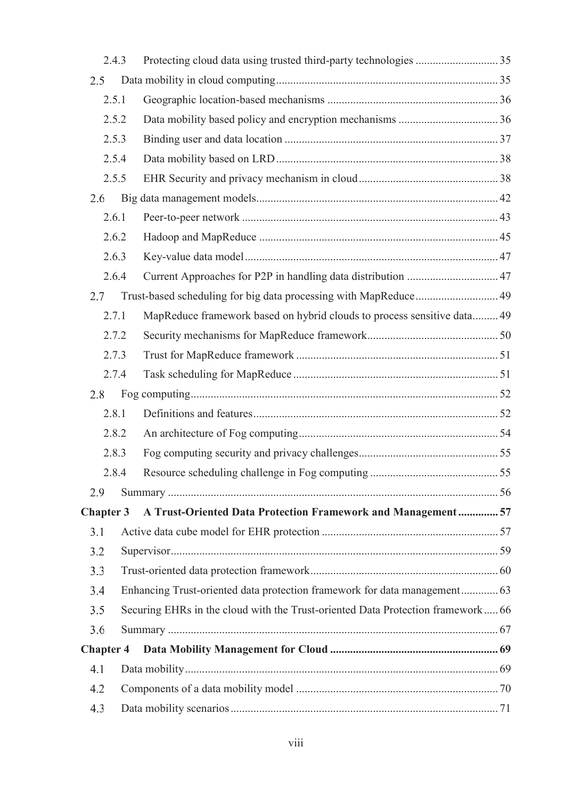|                  | 2.4.3                                                                                  |  |                                                                           |  |
|------------------|----------------------------------------------------------------------------------------|--|---------------------------------------------------------------------------|--|
| 2.5              |                                                                                        |  |                                                                           |  |
|                  | 2.5.1                                                                                  |  |                                                                           |  |
|                  | 2.5.2                                                                                  |  |                                                                           |  |
|                  | 2.5.3                                                                                  |  |                                                                           |  |
|                  | 2.5.4                                                                                  |  |                                                                           |  |
|                  | 2.5.5                                                                                  |  |                                                                           |  |
| 2.6              |                                                                                        |  |                                                                           |  |
|                  | 2.6.1                                                                                  |  |                                                                           |  |
|                  | 2.6.2                                                                                  |  |                                                                           |  |
|                  | 2.6.3                                                                                  |  |                                                                           |  |
|                  | 2.6.4                                                                                  |  | Current Approaches for P2P in handling data distribution  47              |  |
| 2.7              |                                                                                        |  | Trust-based scheduling for big data processing with MapReduce 49          |  |
|                  | 2.7.1                                                                                  |  | MapReduce framework based on hybrid clouds to process sensitive data 49   |  |
|                  | 2.7.2                                                                                  |  |                                                                           |  |
|                  | 2.7.3                                                                                  |  |                                                                           |  |
|                  | 2.7.4                                                                                  |  |                                                                           |  |
| 2.8              |                                                                                        |  |                                                                           |  |
|                  | 2.8.1                                                                                  |  |                                                                           |  |
|                  | 2.8.2                                                                                  |  |                                                                           |  |
|                  | 2.8.3                                                                                  |  |                                                                           |  |
|                  | 2.8.4                                                                                  |  |                                                                           |  |
| 2.9              |                                                                                        |  |                                                                           |  |
| <b>Chapter 3</b> |                                                                                        |  | A Trust-Oriented Data Protection Framework and Management  57             |  |
| 3.1              |                                                                                        |  |                                                                           |  |
| 3.2              |                                                                                        |  |                                                                           |  |
| 3.3              |                                                                                        |  |                                                                           |  |
| 3.4              |                                                                                        |  | Enhancing Trust-oriented data protection framework for data management 63 |  |
|                  | Securing EHRs in the cloud with the Trust-oriented Data Protection framework 66<br>3.5 |  |                                                                           |  |
|                  | 3.6                                                                                    |  |                                                                           |  |
| <b>Chapter 4</b> |                                                                                        |  |                                                                           |  |
| 4.1              |                                                                                        |  |                                                                           |  |
|                  | 4.2                                                                                    |  |                                                                           |  |
|                  | 4.3                                                                                    |  |                                                                           |  |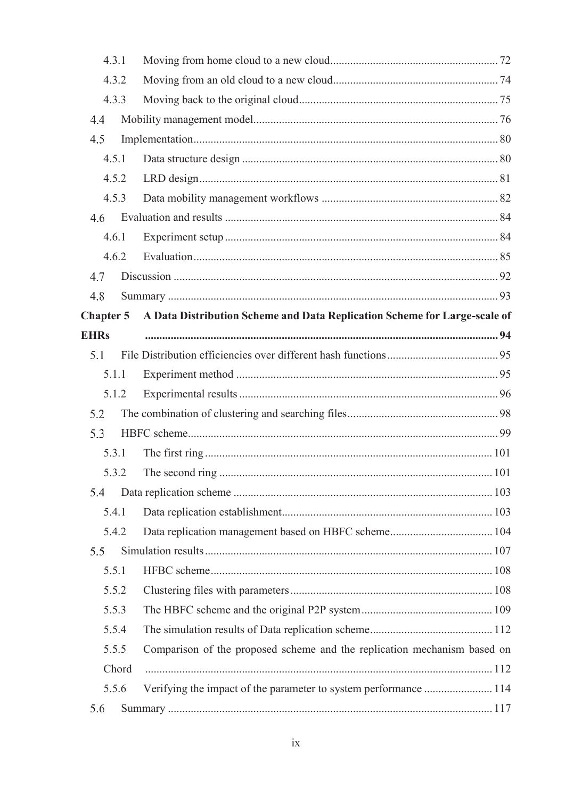|                  | 4.3.1 |                                                                           |     |
|------------------|-------|---------------------------------------------------------------------------|-----|
|                  | 4.3.2 |                                                                           |     |
|                  | 4.3.3 |                                                                           |     |
| 4.4              |       |                                                                           |     |
| 4.5              |       |                                                                           |     |
|                  | 4.5.1 |                                                                           |     |
|                  | 4.5.2 |                                                                           |     |
|                  | 4.5.3 |                                                                           |     |
| 4.6              |       |                                                                           |     |
|                  | 4.6.1 |                                                                           |     |
|                  | 4.6.2 |                                                                           |     |
| 4.7              |       |                                                                           |     |
| 4.8              |       |                                                                           |     |
| <b>Chapter 5</b> |       | A Data Distribution Scheme and Data Replication Scheme for Large-scale of |     |
| <b>EHRs</b>      |       |                                                                           |     |
| 5.1              |       |                                                                           |     |
|                  | 5.1.1 |                                                                           |     |
|                  | 5.1.2 |                                                                           |     |
| 5.2              |       |                                                                           |     |
| 5.3              |       |                                                                           |     |
|                  | 5.3.1 |                                                                           |     |
|                  | 5.3.2 | The second ring                                                           | 101 |
| 5.4              |       |                                                                           |     |
|                  | 5.4.1 |                                                                           |     |
|                  | 5.4.2 |                                                                           |     |
| 5.5              |       |                                                                           |     |
|                  | 5.5.1 |                                                                           |     |
|                  | 5.5.2 |                                                                           |     |
|                  | 5.5.3 |                                                                           |     |
|                  | 5.5.4 |                                                                           |     |
|                  | 5.5.5 | Comparison of the proposed scheme and the replication mechanism based on  |     |
|                  | Chord |                                                                           |     |
|                  | 5.5.6 |                                                                           |     |
| 5.6              |       |                                                                           |     |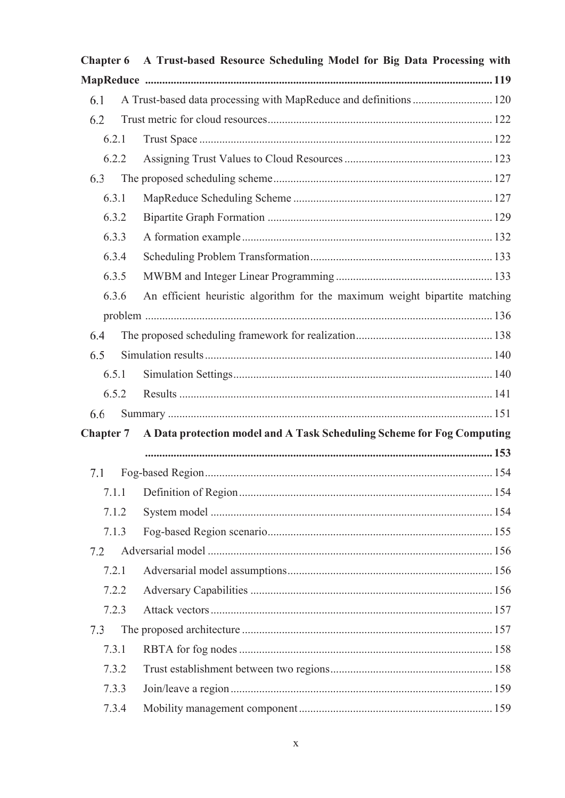| <b>Chapter 6</b>                                                                           | A Trust-based Resource Scheduling Model for Big Data Processing with       |  |
|--------------------------------------------------------------------------------------------|----------------------------------------------------------------------------|--|
|                                                                                            |                                                                            |  |
| 6.1                                                                                        | A Trust-based data processing with MapReduce and definitions  120          |  |
| 6.2                                                                                        |                                                                            |  |
| 6.2.1                                                                                      |                                                                            |  |
| 6.2.2                                                                                      |                                                                            |  |
| 6.3                                                                                        |                                                                            |  |
| 6.3.1                                                                                      |                                                                            |  |
| 6.3.2                                                                                      |                                                                            |  |
| 6.3.3                                                                                      |                                                                            |  |
| 6.3.4                                                                                      |                                                                            |  |
| 6.3.5                                                                                      |                                                                            |  |
| 6.3.6                                                                                      | An efficient heuristic algorithm for the maximum weight bipartite matching |  |
|                                                                                            |                                                                            |  |
| 6.4                                                                                        |                                                                            |  |
| 6.5                                                                                        |                                                                            |  |
| 6.5.1                                                                                      |                                                                            |  |
| 6.5.2                                                                                      |                                                                            |  |
| 6.6                                                                                        |                                                                            |  |
| A Data protection model and A Task Scheduling Scheme for Fog Computing<br><b>Chapter 7</b> |                                                                            |  |
|                                                                                            |                                                                            |  |
| 7.1                                                                                        | Fog-based Region                                                           |  |
| 7.1.1                                                                                      |                                                                            |  |
| 7.1.2                                                                                      |                                                                            |  |
| 7.1.3                                                                                      |                                                                            |  |
| 7.2                                                                                        |                                                                            |  |
| 7.2.1                                                                                      |                                                                            |  |
| 7.2.2                                                                                      |                                                                            |  |
| 7.2.3                                                                                      |                                                                            |  |
| 7.3                                                                                        |                                                                            |  |
| 7.3.1                                                                                      |                                                                            |  |
| 7.3.2                                                                                      |                                                                            |  |
| 7.3.3                                                                                      |                                                                            |  |
| 7.3.4                                                                                      |                                                                            |  |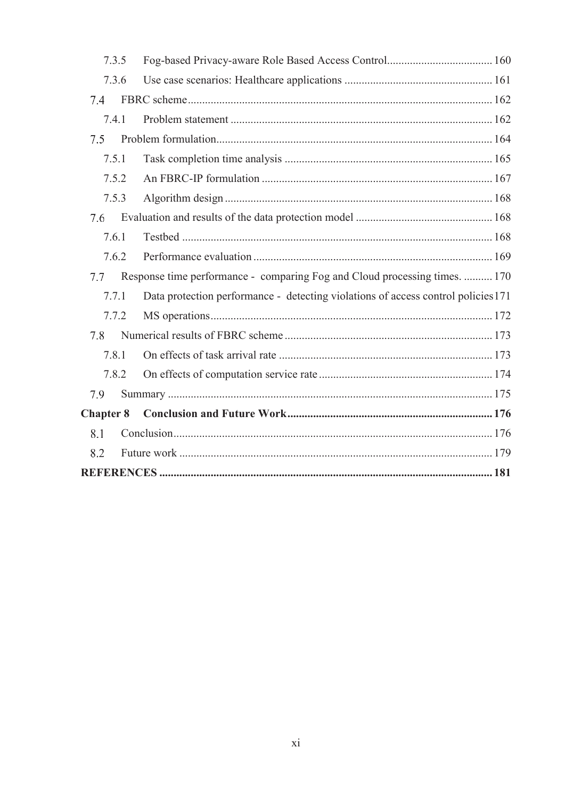| 7.3.5            |                                                                                   |  |  |
|------------------|-----------------------------------------------------------------------------------|--|--|
| 7.3.6            |                                                                                   |  |  |
| 7.4              |                                                                                   |  |  |
| 7.4.1            |                                                                                   |  |  |
| 7.5              |                                                                                   |  |  |
| 7.5.1            |                                                                                   |  |  |
| 7.5.2            |                                                                                   |  |  |
| 7.5.3            |                                                                                   |  |  |
| 7.6              |                                                                                   |  |  |
| 7.6.1            |                                                                                   |  |  |
| 7.6.2            |                                                                                   |  |  |
| 7.7              | Response time performance - comparing Fog and Cloud processing times.  170        |  |  |
| 7.7.1            | Data protection performance - detecting violations of access control policies 171 |  |  |
| 7.7.2            |                                                                                   |  |  |
| 7.8              |                                                                                   |  |  |
| 7.8.1            |                                                                                   |  |  |
| 7.8.2            |                                                                                   |  |  |
| 7.9              |                                                                                   |  |  |
| <b>Chapter 8</b> |                                                                                   |  |  |
| 8.1              |                                                                                   |  |  |
| 8.2              |                                                                                   |  |  |
|                  |                                                                                   |  |  |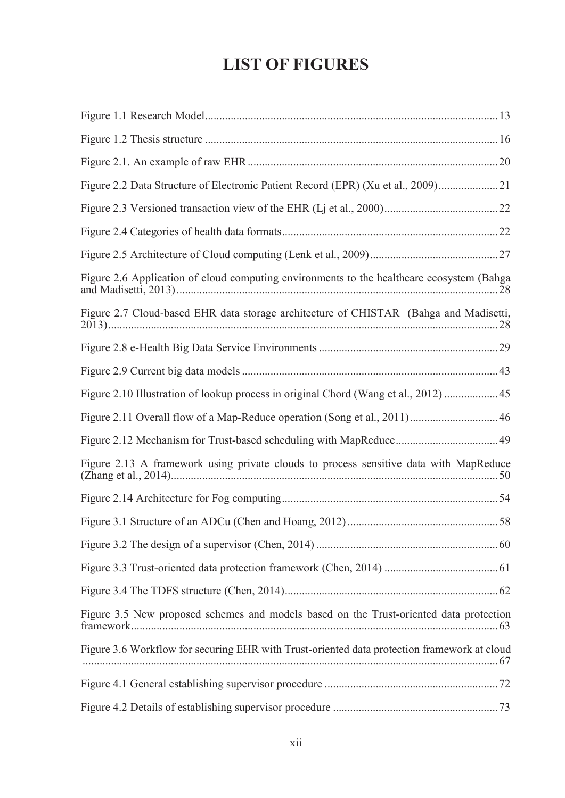# **LIST OF FIGURES**

| Figure 2.2 Data Structure of Electronic Patient Record (EPR) (Xu et al., 2009)21            |  |
|---------------------------------------------------------------------------------------------|--|
|                                                                                             |  |
|                                                                                             |  |
|                                                                                             |  |
| Figure 2.6 Application of cloud computing environments to the healthcare ecosystem (Bahga   |  |
| Figure 2.7 Cloud-based EHR data storage architecture of CHISTAR (Bahga and Madisetti,       |  |
|                                                                                             |  |
|                                                                                             |  |
| Figure 2.10 Illustration of lookup process in original Chord (Wang et al., 2012)  45        |  |
|                                                                                             |  |
|                                                                                             |  |
| Figure 2.13 A framework using private clouds to process sensitive data with MapReduce       |  |
|                                                                                             |  |
|                                                                                             |  |
|                                                                                             |  |
|                                                                                             |  |
|                                                                                             |  |
| Figure 3.5 New proposed schemes and models based on the Trust-oriented data protection      |  |
| Figure 3.6 Workflow for securing EHR with Trust-oriented data protection framework at cloud |  |
|                                                                                             |  |
|                                                                                             |  |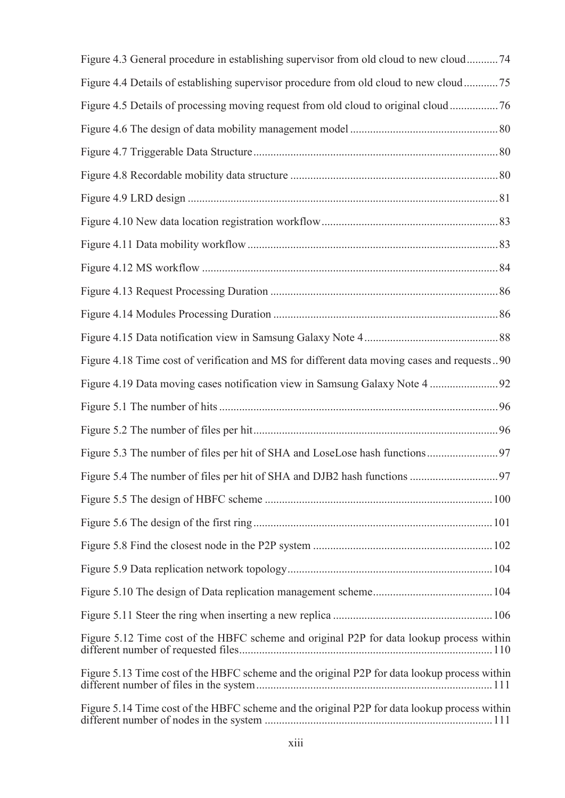| Figure 4.3 General procedure in establishing supervisor from old cloud to new cloud74        |
|----------------------------------------------------------------------------------------------|
| Figure 4.4 Details of establishing supervisor procedure from old cloud to new cloud75        |
| Figure 4.5 Details of processing moving request from old cloud to original cloud76           |
|                                                                                              |
|                                                                                              |
|                                                                                              |
|                                                                                              |
|                                                                                              |
|                                                                                              |
|                                                                                              |
|                                                                                              |
|                                                                                              |
|                                                                                              |
| Figure 4.18 Time cost of verification and MS for different data moving cases and requests90  |
|                                                                                              |
|                                                                                              |
|                                                                                              |
|                                                                                              |
|                                                                                              |
|                                                                                              |
|                                                                                              |
|                                                                                              |
|                                                                                              |
|                                                                                              |
|                                                                                              |
| Figure 5.12 Time cost of the HBFC scheme and original P2P for data lookup process within     |
| Figure 5.13 Time cost of the HBFC scheme and the original P2P for data lookup process within |
| Figure 5.14 Time cost of the HBFC scheme and the original P2P for data lookup process within |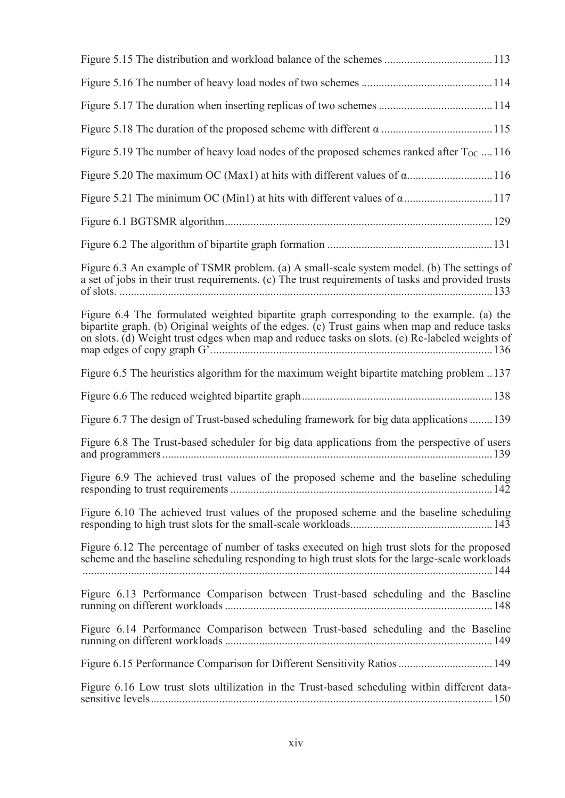| Figure 5.19 The number of heavy load nodes of the proposed schemes ranked after $T_{OC}$ 116                                                                                                                                                                                                |
|---------------------------------------------------------------------------------------------------------------------------------------------------------------------------------------------------------------------------------------------------------------------------------------------|
|                                                                                                                                                                                                                                                                                             |
|                                                                                                                                                                                                                                                                                             |
|                                                                                                                                                                                                                                                                                             |
|                                                                                                                                                                                                                                                                                             |
| Figure 6.3 An example of TSMR problem. (a) A small-scale system model. (b) The settings of<br>a set of jobs in their trust requirements. (c) The trust requirements of tasks and provided trusts                                                                                            |
| Figure 6.4 The formulated weighted bipartite graph corresponding to the example. (a) the<br>bipartite graph. (b) Original weights of the edges. (c) Trust gains when map and reduce tasks<br>on slots. (d) Weight trust edges when map and reduce tasks on slots. (e) Re-labeled weights of |
| Figure 6.5 The heuristics algorithm for the maximum weight bipartite matching problem 137                                                                                                                                                                                                   |
|                                                                                                                                                                                                                                                                                             |
| Figure 6.7 The design of Trust-based scheduling framework for big data applications  139                                                                                                                                                                                                    |
| Figure 6.8 The Trust-based scheduler for big data applications from the perspective of users                                                                                                                                                                                                |
| Figure 6.9 The achieved trust values of the proposed scheme and the baseline scheduling                                                                                                                                                                                                     |
| Figure 6.10 The achieved trust values of the proposed scheme and the baseline scheduling                                                                                                                                                                                                    |
| Figure 6.12 The percentage of number of tasks executed on high trust slots for the proposed<br>scheme and the baseline scheduling responding to high trust slots for the large-scale workloads                                                                                              |
| Figure 6.13 Performance Comparison between Trust-based scheduling and the Baseline                                                                                                                                                                                                          |
| Figure 6.14 Performance Comparison between Trust-based scheduling and the Baseline                                                                                                                                                                                                          |
|                                                                                                                                                                                                                                                                                             |
| Figure 6.16 Low trust slots ultilization in the Trust-based scheduling within different data-                                                                                                                                                                                               |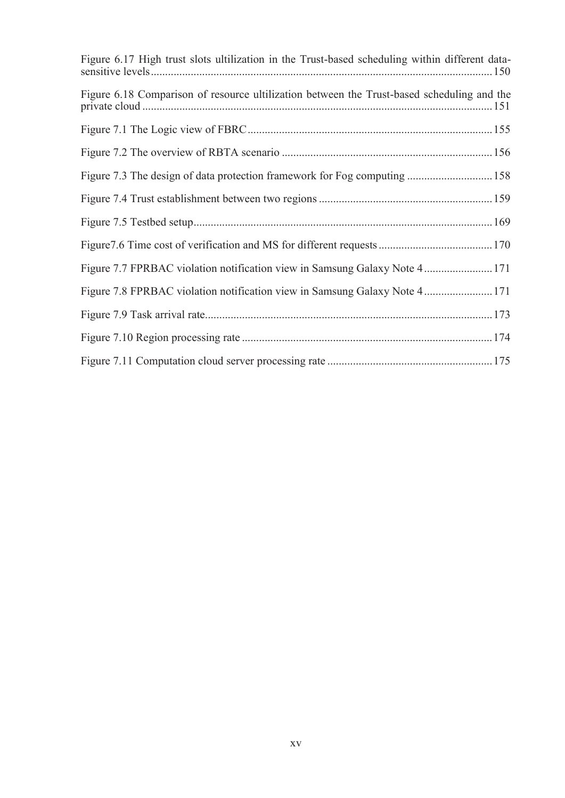| Figure 6.17 High trust slots ultilization in the Trust-based scheduling within different data- |  |
|------------------------------------------------------------------------------------------------|--|
| Figure 6.18 Comparison of resource ultilization between the Trust-based scheduling and the     |  |
|                                                                                                |  |
|                                                                                                |  |
| Figure 7.3 The design of data protection framework for Fog computing  158                      |  |
|                                                                                                |  |
|                                                                                                |  |
|                                                                                                |  |
| Figure 7.7 FPRBAC violation notification view in Samsung Galaxy Note 4  171                    |  |
| Figure 7.8 FPRBAC violation notification view in Samsung Galaxy Note 4  171                    |  |
|                                                                                                |  |
|                                                                                                |  |
|                                                                                                |  |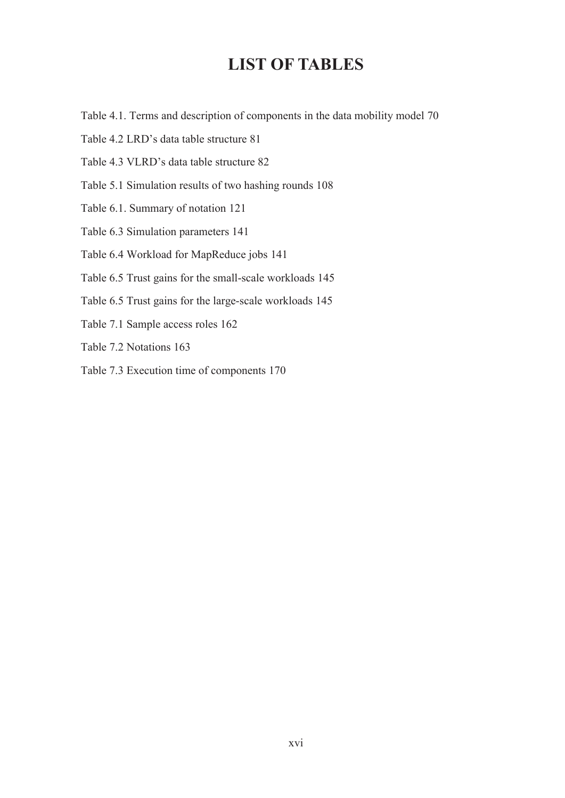### **LIST OF TABLES**

- Table 4.1. Terms and description of components in the data mobility model 70
- Table 4.2 LRD's data table structure 81
- Table 4.3 VLRD's data table structure 82
- Table 5.1 Simulation results of two hashing rounds 108
- Table 6.1. Summary of notation 121
- Table 6.3 Simulation parameters 141
- Table 6.4 Workload for MapReduce jobs 141
- Table 6.5 Trust gains for the small-scale workloads 145
- Table 6.5 Trust gains for the large-scale workloads 145
- Table 7.1 Sample access roles 162
- Table 7.2 Notations 163
- Table 7.3 Execution time of components 170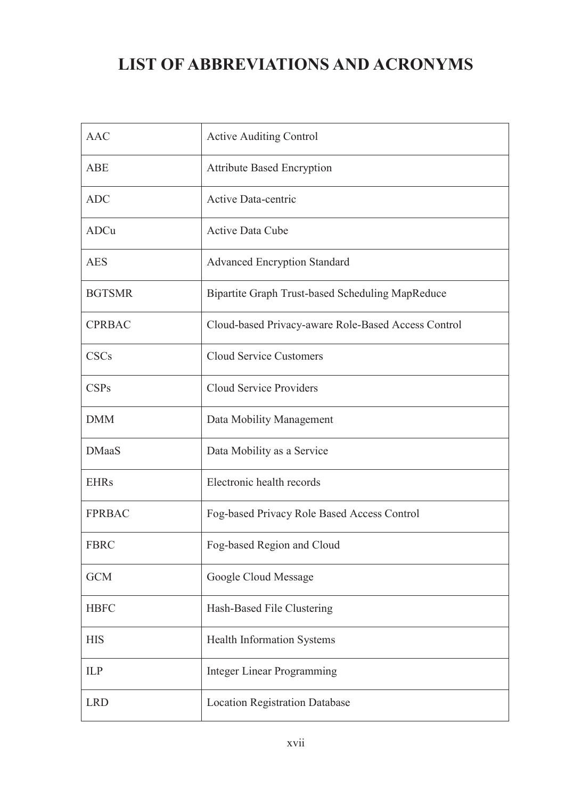# **LIST OF ABBREVIATIONS AND ACRONYMS**

| <b>AAC</b>    | <b>Active Auditing Control</b>                      |
|---------------|-----------------------------------------------------|
| <b>ABE</b>    | <b>Attribute Based Encryption</b>                   |
| <b>ADC</b>    | Active Data-centric                                 |
| ADCu          | Active Data Cube                                    |
| <b>AES</b>    | <b>Advanced Encryption Standard</b>                 |
| <b>BGTSMR</b> | Bipartite Graph Trust-based Scheduling MapReduce    |
| <b>CPRBAC</b> | Cloud-based Privacy-aware Role-Based Access Control |
| <b>CSCs</b>   | <b>Cloud Service Customers</b>                      |
| <b>CSPs</b>   | <b>Cloud Service Providers</b>                      |
| <b>DMM</b>    | Data Mobility Management                            |
| <b>DMaaS</b>  | Data Mobility as a Service                          |
| <b>EHRs</b>   | Electronic health records                           |
| <b>FPRBAC</b> | Fog-based Privacy Role Based Access Control         |
| <b>FBRC</b>   | Fog-based Region and Cloud                          |
| <b>GCM</b>    | Google Cloud Message                                |
| <b>HBFC</b>   | Hash-Based File Clustering                          |
| <b>HIS</b>    | Health Information Systems                          |
| <b>ILP</b>    | <b>Integer Linear Programming</b>                   |
| <b>LRD</b>    | <b>Location Registration Database</b>               |